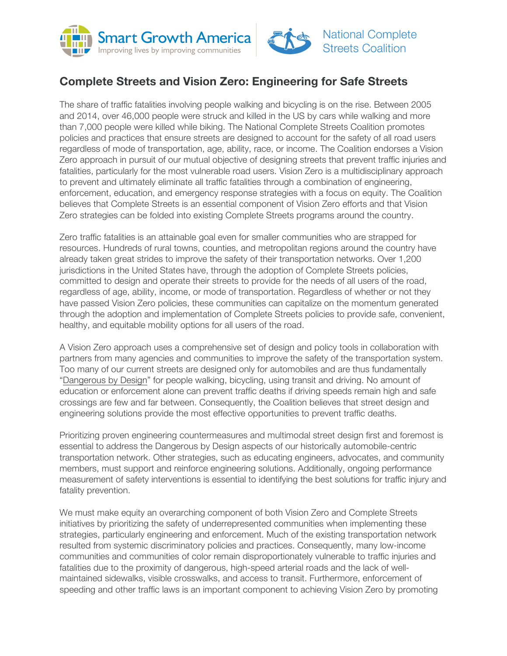



## **Complete Streets and Vision Zero: Engineering for Safe Streets**

The share of traffic fatalities involving people walking and bicycling is on the rise. Between 2005 and 2014, over 46,000 people were struck and killed in the US by cars while walking and more than 7,000 people were killed while biking. The National Complete Streets Coalition promotes policies and practices that ensure streets are designed to account for the safety of all road users regardless of mode of transportation, age, ability, race, or income. The Coalition endorses a Vision Zero approach in pursuit of our mutual objective of designing streets that prevent traffic injuries and fatalities, particularly for the most vulnerable road users. Vision Zero is a multidisciplinary approach to prevent and ultimately eliminate all traffic fatalities through a combination of engineering, enforcement, education, and emergency response strategies with a focus on equity. The Coalition believes that Complete Streets is an essential component of Vision Zero efforts and that Vision Zero strategies can be folded into existing Complete Streets programs around the country.

Zero traffic fatalities is an attainable goal even for smaller communities who are strapped for resources. Hundreds of rural towns, counties, and metropolitan regions around the country have already taken great strides to improve the safety of their transportation networks. Over 1,200 jurisdictions in the United States have, through the adoption of Complete Streets policies, committed to design and operate their streets to provide for the needs of all users of the road, regardless of age, ability, income, or mode of transportation. Regardless of whether or not they have passed Vision Zero policies, these communities can capitalize on the momentum generated through the adoption and implementation of Complete Streets policies to provide safe, convenient, healthy, and equitable mobility options for all users of the road.

A Vision Zero approach uses a comprehensive set of design and policy tools in collaboration with partners from many agencies and communities to improve the safety of the transportation system. Too many of our current streets are designed only for automobiles and are thus fundamentally "Dangerous by Design" for people walking, bicycling, using transit and driving. No amount of education or enforcement alone can prevent traffic deaths if driving speeds remain high and safe crossings are few and far between. Consequently, the Coalition believes that street design and engineering solutions provide the most effective opportunities to prevent traffic deaths.

Prioritizing proven engineering countermeasures and multimodal street design first and foremost is essential to address the Dangerous by Design aspects of our historically automobile-centric transportation network. Other strategies, such as educating engineers, advocates, and community members, must support and reinforce engineering solutions. Additionally, ongoing performance measurement of safety interventions is essential to identifying the best solutions for traffic injury and fatality prevention.

We must make equity an overarching component of both Vision Zero and Complete Streets initiatives by prioritizing the safety of underrepresented communities when implementing these strategies, particularly engineering and enforcement. Much of the existing transportation network resulted from systemic discriminatory policies and practices. Consequently, many low-income communities and communities of color remain disproportionately vulnerable to traffic injuries and fatalities due to the proximity of dangerous, high-speed arterial roads and the lack of wellmaintained sidewalks, visible crosswalks, and access to transit. Furthermore, enforcement of speeding and other traffic laws is an important component to achieving Vision Zero by promoting